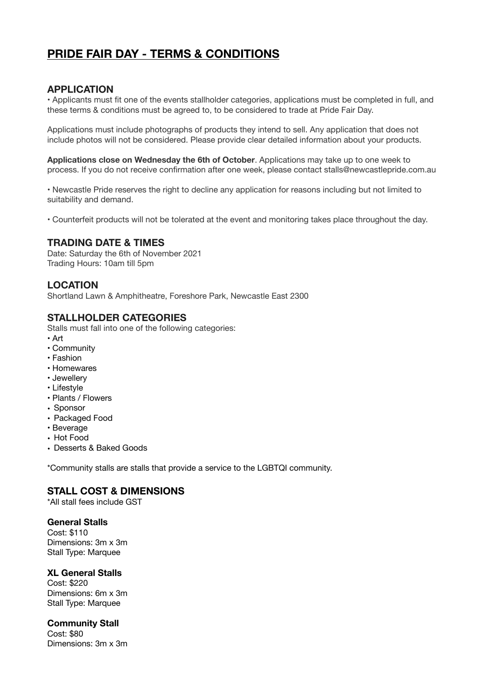# **PRIDE FAIR DAY - TERMS & CONDITIONS**

### **APPLICATION**

• Applicants must fit one of the events stallholder categories, applications must be completed in full, and these terms & conditions must be agreed to, to be considered to trade at Pride Fair Day.

Applications must include photographs of products they intend to sell. Any application that does not include photos will not be considered. Please provide clear detailed information about your products.

**Applications close on Wednesday the 6th of October**. Applications may take up to one week to process. If you do not receive confirmation after one week, please contact stalls@newcastlepride.com.au

• Newcastle Pride reserves the right to decline any application for reasons including but not limited to suitability and demand.

• Counterfeit products will not be tolerated at the event and monitoring takes place throughout the day.

### **TRADING DATE & TIMES**

Date: Saturday the 6th of November 2021 Trading Hours: 10am till 5pm

# **LOCATION**

Shortland Lawn & Amphitheatre, Foreshore Park, Newcastle East 2300

### **STALLHOLDER CATEGORIES**

Stalls must fall into one of the following categories:

- Art
- Community
- Fashion
- Homewares
- Jewellery
- Lifestyle
- Plants / Flowers
- Sponsor
- Packaged Food
- Beverage
- Hot Food
- Desserts & Baked Goods

\*Community stalls are stalls that provide a service to the LGBTQI community.

# **STALL COST & DIMENSIONS**

\*All stall fees include GST

### **General Stalls**

Cost: \$110 Dimensions: 3m x 3m Stall Type: Marquee

#### **XL General Stalls**

Cost: \$220 Dimensions: 6m x 3m Stall Type: Marquee

#### **Community Stall**

Cost: \$80 Dimensions: 3m x 3m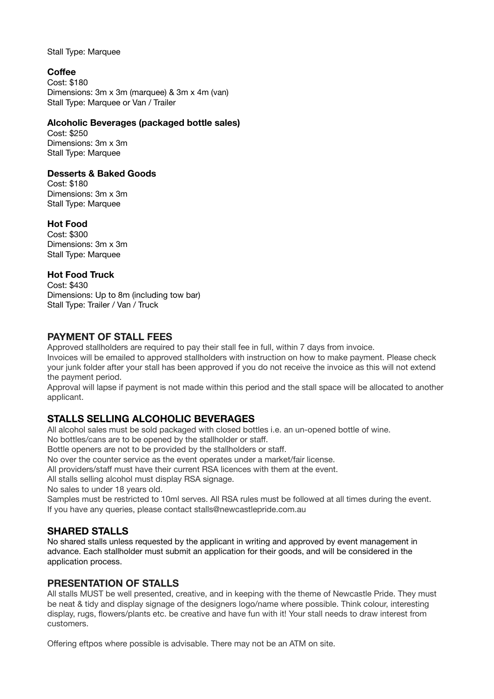Stall Type: Marquee

# **Coffee**

Cost: \$180 Dimensions: 3m x 3m (marquee) & 3m x 4m (van) Stall Type: Marquee or Van / Trailer

### **Alcoholic Beverages (packaged bottle sales)**

Cost: \$250 Dimensions: 3m x 3m Stall Type: Marquee

### **Desserts & Baked Goods**

Cost: \$180 Dimensions: 3m x 3m Stall Type: Marquee

# **Hot Food**

Cost: \$300 Dimensions: 3m x 3m Stall Type: Marquee

# **Hot Food Truck**

Cost: \$430 Dimensions: Up to 8m (including tow bar) Stall Type: Trailer / Van / Truck

# **PAYMENT OF STALL FEES**

Approved stallholders are required to pay their stall fee in full, within 7 days from invoice.

Invoices will be emailed to approved stallholders with instruction on how to make payment. Please check your junk folder after your stall has been approved if you do not receive the invoice as this will not extend the payment period.

Approval will lapse if payment is not made within this period and the stall space will be allocated to another applicant.

# **STALLS SELLING ALCOHOLIC BEVERAGES**

All alcohol sales must be sold packaged with closed bottles i.e. an un-opened bottle of wine.

No bottles/cans are to be opened by the stallholder or staff.

Bottle openers are not to be provided by the stallholders or staff.

No over the counter service as the event operates under a market/fair license.

All providers/staff must have their current RSA licences with them at the event.

All stalls selling alcohol must display RSA signage.

No sales to under 18 years old.

Samples must be restricted to 10ml serves. All RSA rules must be followed at all times during the event. If you have any queries, please contact stalls@newcastlepride.com.au

# **SHARED STALLS**

No shared stalls unless requested by the applicant in writing and approved by event management in advance. Each stallholder must submit an application for their goods, and will be considered in the application process.

# **PRESENTATION OF STALLS**

All stalls MUST be well presented, creative, and in keeping with the theme of Newcastle Pride. They must be neat & tidy and display signage of the designers logo/name where possible. Think colour, interesting display, rugs, flowers/plants etc. be creative and have fun with it! Your stall needs to draw interest from customers.

Offering eftpos where possible is advisable. There may not be an ATM on site.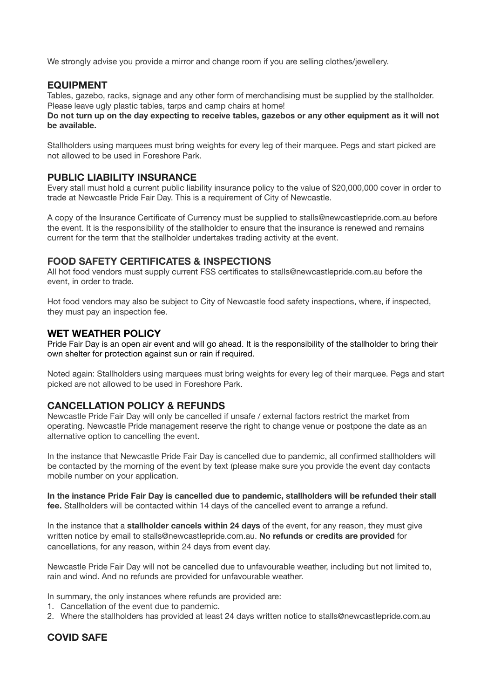We strongly advise you provide a mirror and change room if you are selling clothes/jewellery.

### **EQUIPMENT**

Tables, gazebo, racks, signage and any other form of merchandising must be supplied by the stallholder. Please leave ugly plastic tables, tarps and camp chairs at home!

**Do not turn up on the day expecting to receive tables, gazebos or any other equipment as it will not be available.** 

Stallholders using marquees must bring weights for every leg of their marquee. Pegs and start picked are not allowed to be used in Foreshore Park.

### **PUBLIC LIABILITY INSURANCE**

Every stall must hold a current public liability insurance policy to the value of \$20,000,000 cover in order to trade at Newcastle Pride Fair Day. This is a requirement of City of Newcastle.

A copy of the Insurance Certificate of Currency must be supplied to stalls@newcastlepride.com.au before the event. It is the responsibility of the stallholder to ensure that the insurance is renewed and remains current for the term that the stallholder undertakes trading activity at the event.

### **FOOD SAFETY CERTIFICATES & INSPECTIONS**

All hot food vendors must supply current FSS certificates to stalls@newcastlepride.com.au before the event, in order to trade.

Hot food vendors may also be subject to City of Newcastle food safety inspections, where, if inspected, they must pay an inspection fee.

#### **WET WEATHER POLICY**

Pride Fair Day is an open air event and will go ahead. It is the responsibility of the stallholder to bring their own shelter for protection against sun or rain if required.

Noted again: Stallholders using marquees must bring weights for every leg of their marquee. Pegs and start picked are not allowed to be used in Foreshore Park.

#### **CANCELLATION POLICY & REFUNDS**

Newcastle Pride Fair Day will only be cancelled if unsafe / external factors restrict the market from operating. Newcastle Pride management reserve the right to change venue or postpone the date as an alternative option to cancelling the event.

In the instance that Newcastle Pride Fair Day is cancelled due to pandemic, all confirmed stallholders will be contacted by the morning of the event by text (please make sure you provide the event day contacts mobile number on your application.

**In the instance Pride Fair Day is cancelled due to pandemic, stallholders will be refunded their stall fee.** Stallholders will be contacted within 14 days of the cancelled event to arrange a refund.

In the instance that a **stallholder cancels within 24 days** of the event, for any reason, they must give written notice by email to stalls@newcastlepride.com.au. **No refunds or credits are provided** for cancellations, for any reason, within 24 days from event day.

Newcastle Pride Fair Day will not be cancelled due to unfavourable weather, including but not limited to, rain and wind. And no refunds are provided for unfavourable weather.

In summary, the only instances where refunds are provided are:

- 1. Cancellation of the event due to pandemic.
- 2. Where the stallholders has provided at least 24 days written notice to stalls@newcastlepride.com.au

### **COVID SAFE**